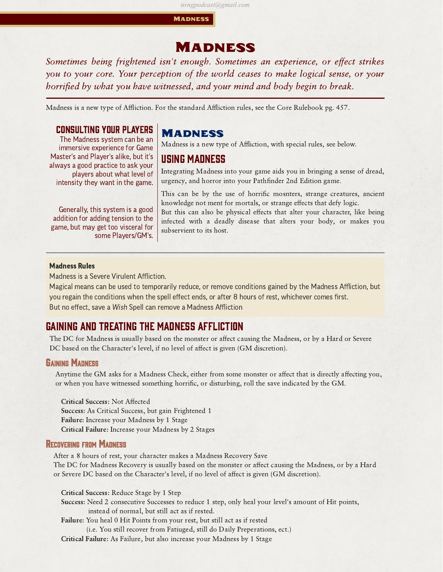#### *nvngpodcast@gmail.com*

**MADNESS** 

# **MADNESS**

Sometimes being frightened isn't enough. Sometimes an experience, or effect strikes you to your core. Your perception of the world ceases to make logical sense, or your horrified by what you have witnessed, and your mind and body begin to break.

Madness is a new type of Affliction. For the standard Affliction rules, see the Core Rulebook pg. 457.

## Consulting your Players

The Madness system can be an immersive experience for Game Master's and Player's alike, but it's always a good practice to ask your players about what level of intensity they want in the game.

Generally, this system is a good addition for adding tension to the game, but may get too visceral for some Players/GM's.

## **MADNESS**

Madness is a new type of Affliction, with special rules, see below.

## Using Madness

Integrating Madness into your game aids you in bringing a sense of dread, urgency, and horror into your Pathnder 2nd Edition game.

This can be by the use of horrific mosnters, strange creatures, ancient knowledge not ment for mortals, or strange effects that defy logic.

But this can also be physical effects that alter your character, like being infected with a deadly disease that alters your body, or makes you subservient to its host.

## Madness Rules

Madness is a Severe Virulent Affliction.

Magical means can be used to temporarily reduce, or remove conditions gained by the Madness Affliction, but you regain the conditions when the spell effect ends, or after 8 hours of rest, whichever comes first. But no effect, save a Wish Spell can remove a Madness Affliction

## Gaining and Treating the Madness Affliction

The DC for Madness is usually based on the monster or affect causing the Madness, or by a Hard or Severe DC based on the Character's level, if no level of affect is given (GM discretion).

### GAINING MADNESS

Anytime the GM asks for a Madness Check, either from some monster or affect that is directly affecting you, or when you have witnessed something horric, or disturbing, roll the save indicated by the GM.

Critical Success: Not Affected Success: As Critical Success, but gain Frightened 1 Failure: Increase your Madness by 1 Stage Critical Failure: Increase your Madness by 2 Stages

## RECOVERING FROM MADNESS

After a 8 hours of rest, your character makes a Madness Recovery Save The DC for Madness Recovery is usually based on the monster or affect causing the Madness, or by a Hard or Severe DC based on the Character's level, if no level of affect is given (GM discretion).

Critical Success: Reduce Stage by 1 Step

Success: Need 2 consecutive Successes to reduce 1 step, only heal your level's amount of Hit points, instead of normal, but still act as if rested.

Failure: You heal 0 Hit Points from your rest, but still act as if rested

(i.e. You still recover from Fatiuged, still do Daily Preperations, ect.)

Critical Failure: As Failure, but also increase your Madness by 1 Stage